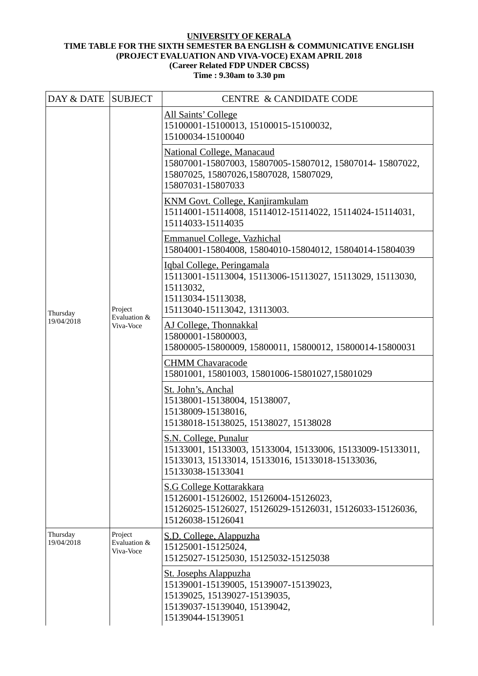## **UNIVERSITY OF KERALA TIME TABLE FOR THE SIXTH SEMESTER BA ENGLISH & COMMUNICATIVE ENGLISH (PROJECT EVALUATION AND VIVA-VOCE) EXAM APRIL 2018 (Career Related FDP UNDER CBCSS)**

## **Time : 9.30am to 3.30 pm**

| DAY & DATE SUBJECT     |                                      | <b>CENTRE &amp; CANDIDATE CODE</b>                                                                                                                            |
|------------------------|--------------------------------------|---------------------------------------------------------------------------------------------------------------------------------------------------------------|
| Thursday<br>19/04/2018 | Project<br>Evaluation &<br>Viva-Voce | All Saints' College<br>15100001-15100013, 15100015-15100032,<br>15100034-15100040                                                                             |
|                        |                                      | <b>National College, Manacaud</b><br>15807001-15807003, 15807005-15807012, 15807014-15807022,<br>15807025, 15807026, 15807028, 15807029,<br>15807031-15807033 |
|                        |                                      | KNM Govt. College, Kanjiramkulam<br>15114001-15114008, 15114012-15114022, 15114024-15114031,<br>15114033-15114035                                             |
|                        |                                      | <b>Emmanuel College, Vazhichal</b><br>15804001-15804008, 15804010-15804012, 15804014-15804039                                                                 |
|                        |                                      | Igbal College, Peringamala<br>15113001-15113004, 15113006-15113027, 15113029, 15113030,<br>15113032,<br>15113034-15113038,<br>15113040-15113042, 13113003.    |
|                        |                                      | AJ College, Thonnakkal<br>15800001-15800003,<br>15800005-15800009, 15800011, 15800012, 15800014-15800031                                                      |
|                        |                                      | <b>CHMM Chavaracode</b><br>15801001, 15801003, 15801006-15801027, 15801029                                                                                    |
|                        |                                      | St. John's, Anchal<br>15138001-15138004, 15138007,<br>15138009-15138016,<br>15138018-15138025, 15138027, 15138028                                             |
|                        |                                      | S.N. College, Punalur<br>15133001, 15133003, 15133004, 15133006, 15133009-15133011<br>15133013, 15133014, 15133016, 15133018-15133036,<br>15133038-15133041   |
|                        |                                      | <b>S.G College Kottarakkara</b><br>15126001-15126002, 15126004-15126023,<br>15126025-15126027, 15126029-15126031, 15126033-15126036,<br>15126038-15126041     |
| Thursday<br>19/04/2018 | Project<br>Evaluation &<br>Viva-Voce | S.D. College, Alappuzha<br>15125001-15125024,<br>15125027-15125030, 15125032-15125038                                                                         |
|                        |                                      | <b>St. Josephs Alappuzha</b><br>15139001-15139005, 15139007-15139023,<br>15139025, 15139027-15139035,<br>15139037-15139040, 15139042,<br>15139044-15139051    |